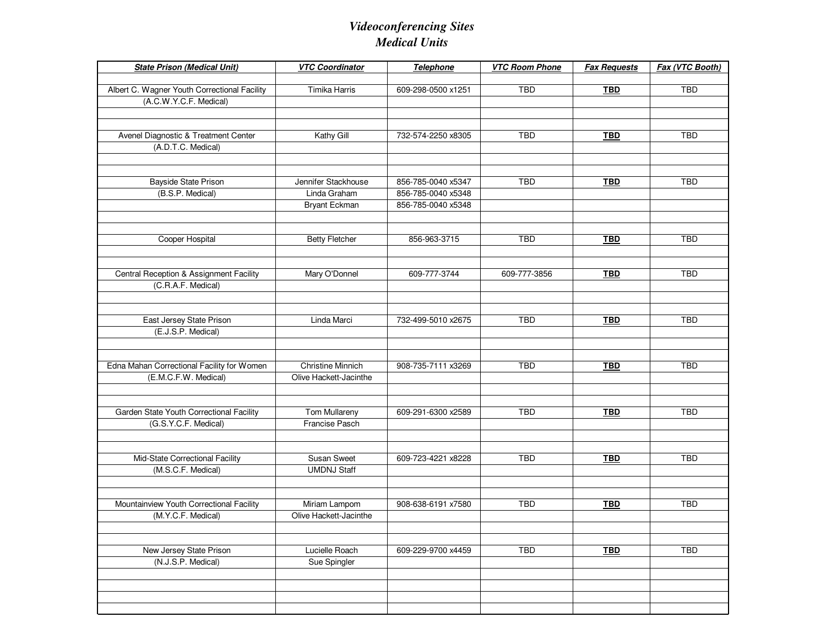## *Videoconferencing SitesMedical Units*

| <b>State Prison (Medical Unit)</b>                    | <b>VTC Coordinator</b>   | Telephone          | <b>VTC Room Phone</b> | <b>Fax Requests</b> | Fax (VTC Booth) |
|-------------------------------------------------------|--------------------------|--------------------|-----------------------|---------------------|-----------------|
| Albert C. Wagner Youth Correctional Facility          | Timika Harris            | 609-298-0500 x1251 | <b>TBD</b>            | <b>TBD</b>          | <b>TBD</b>      |
| (A.C.W.Y.C.F. Medical)                                |                          |                    |                       |                     |                 |
|                                                       |                          |                    |                       |                     |                 |
|                                                       |                          |                    |                       |                     |                 |
| Avenel Diagnostic & Treatment Center                  | Kathy Gill               | 732-574-2250 x8305 | <b>TBD</b>            | <b>TBD</b>          | <b>TBD</b>      |
| (A.D.T.C. Medical)                                    |                          |                    |                       |                     |                 |
|                                                       |                          |                    |                       |                     |                 |
|                                                       |                          |                    |                       |                     |                 |
| Bayside State Prison                                  | Jennifer Stackhouse      | 856-785-0040 x5347 | <b>TBD</b>            | <b>TBD</b>          | <b>TBD</b>      |
| (B.S.P. Medical)                                      | Linda Graham             | 856-785-0040 x5348 |                       |                     |                 |
|                                                       | Bryant Eckman            | 856-785-0040 x5348 |                       |                     |                 |
|                                                       |                          |                    |                       |                     |                 |
|                                                       |                          |                    |                       |                     |                 |
| Cooper Hospital                                       | <b>Betty Fletcher</b>    | 856-963-3715       | <b>TBD</b>            | <b>TBD</b>          | <b>TBD</b>      |
|                                                       |                          |                    |                       |                     |                 |
| Central Reception & Assignment Facility               | Mary O'Donnel            | 609-777-3744       | 609-777-3856          | <b>TBD</b>          | <b>TBD</b>      |
| (C.R.A.F. Medical)                                    |                          |                    |                       |                     |                 |
|                                                       |                          |                    |                       |                     |                 |
|                                                       |                          |                    |                       |                     |                 |
| East Jersey State Prison                              | Linda Marci              | 732-499-5010 x2675 | <b>TBD</b>            | <b>TBD</b>          | <b>TBD</b>      |
| (E.J.S.P. Medical)                                    |                          |                    |                       |                     |                 |
|                                                       |                          |                    |                       |                     |                 |
|                                                       |                          |                    |                       |                     |                 |
| Edna Mahan Correctional Facility for Women            | <b>Christine Minnich</b> | 908-735-7111 x3269 | <b>TBD</b>            | <b>TBD</b>          | <b>TBD</b>      |
| (E.M.C.F.W. Medical)                                  | Olive Hackett-Jacinthe   |                    |                       |                     |                 |
|                                                       |                          |                    |                       |                     |                 |
|                                                       |                          |                    |                       |                     |                 |
| Garden State Youth Correctional Facility              | Tom Mullareny            | 609-291-6300 x2589 | <b>TBD</b>            | <b>TBD</b>          | <b>TBD</b>      |
| (G.S.Y.C.F. Medical)                                  | Francise Pasch           |                    |                       |                     |                 |
|                                                       |                          |                    |                       |                     |                 |
|                                                       | <b>Susan Sweet</b>       | 609-723-4221 x8228 | <b>TBD</b>            | <b>TBD</b>          | <b>TBD</b>      |
| Mid-State Correctional Facility<br>(M.S.C.F. Medical) | <b>UMDNJ Staff</b>       |                    |                       |                     |                 |
|                                                       |                          |                    |                       |                     |                 |
|                                                       |                          |                    |                       |                     |                 |
| Mountainview Youth Correctional Facility              | Miriam Lampom            | 908-638-6191 x7580 | <b>TBD</b>            | <b>TBD</b>          | <b>TBD</b>      |
| (M.Y.C.F. Medical)                                    | Olive Hackett-Jacinthe   |                    |                       |                     |                 |
|                                                       |                          |                    |                       |                     |                 |
|                                                       |                          |                    |                       |                     |                 |
| New Jersey State Prison                               | Lucielle Roach           | 609-229-9700 x4459 | TBD                   | <b>TBD</b>          | TBD             |
| (N.J.S.P. Medical)                                    | Sue Spingler             |                    |                       |                     |                 |
|                                                       |                          |                    |                       |                     |                 |
|                                                       |                          |                    |                       |                     |                 |
|                                                       |                          |                    |                       |                     |                 |
|                                                       |                          |                    |                       |                     |                 |